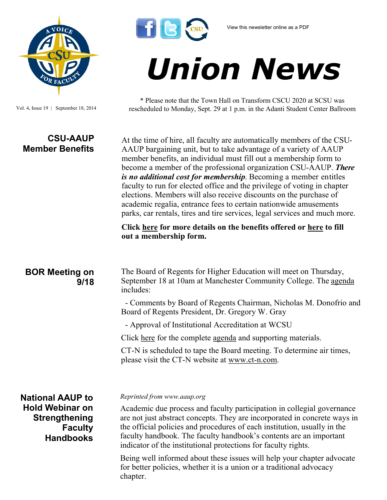

Vol. 4, Issue 19 | September 18, 2014

## **CSU-AAUP Member Benefits**



# *Union News*

\* Please note that the Town Hall on Transform CSCU 2020 at SCSU was rescheduled to Monday, Sept. 29 at 1 p.m. in the Adanti Student Center Ballroom

At the time of hire, all faculty are automatically members of the CSU-AAUP bargaining unit, but to take advantage of a variety of AAUP member benefits, an individual must fill out a membership form to become a member of the professional organization CSU-AAUP. *There is no additional cost for membership*. Becoming a member entitles faculty to run for elected office and the privilege of voting in chapter elections. Members will also receive discounts on the purchase of academic regalia, entrance fees to certain nationwide amusements parks, car rentals, tires and tire services, legal services and much more.

**Click [here](http://www.csuaaup.org/?page_id=58) for more details on the benefits offered or [here](http://www.csuaaup.org/?page_id=44) to fill out a membership form.** 

### **BOR Meeting on 9/18**

The Board of Regents for Higher Education will meet on Thursday, September 18 at 10am at Manchester Community College. The [agenda](http://www.ct.edu/images/uploads/BOR-Agenda-09-18-2014.pdf) includes:

 - Comments by Board of Regents Chairman, Nicholas M. Donofrio and Board of Regents President, Dr. Gregory W. Gray

- Approval of Institutional Accreditation at WCSU

Click [here](http://www.ct.edu/images/uploads/BOR-Agenda-09-18-2014.pdf) for the complete [agenda](http://www.ct.edu/images/uploads/BOR-Agenda-09-18-2014.pdf) and supporting materials.

CT-N is scheduled to tape the Board meeting. To determine air times, please visit the CT-N website at [www.ct](http://www.ct-n.com)-n.com.

**National AAUP to Hold Webinar on Strengthening Faculty Handbooks**

#### *Reprinted from www.aaup.org*

Academic due process and faculty participation in collegial governance are not just abstract concepts. They are incorporated in concrete ways in the official policies and procedures of each institution, usually in the faculty handbook. The faculty handbook's contents are an important indicator of the institutional protections for faculty rights.

Being well informed about these issues will help your chapter advocate for better policies, whether it is a union or a traditional advocacy chapter.